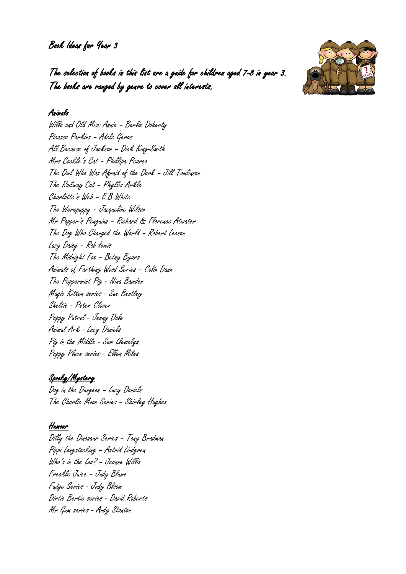Book Ideas for Year 3



The selection of books in this list are a guide for children aged 7-8 in year 3. The books are ranged by genre to cover all interests.

## Animals

Willa and Old Miss Annie – Berlie Doherty Picasso Perkins – Adele Geras All Because of Jackson – Dick King-Smith Mrs Cockle's Cat – Phillipa Pearce The Owl Who Was Afraid of the Dark – Jill Tomlinson The Railway Cat – Phyllis Arkle Charlotte's Web – E.B White The Werepuppy – Jacqueline Wilson Mr Popper's Penguins – Richard & Florence Atwater The Dog Who Changed the World – Robert Leeson Lazy Daisy – Rob lewis The Midnight Fox – Betsy Byars Animals of Farthing Wood Series – Colin Dann The Peppermint Pig - Nina Bawden Magic Kitten series - Sue Bentley Sheltie - Peter Clover Puppy Patrol - Jenny Dale Animal Ark - Lucy Daniels Pig in the Middle - Sam Llewelyn Puppy Place series - Ellen Miles

# Spooky/Mystery

Dog in the Dungeon – Lucy Daniels The Charlie Moon Series – Shirley Hughes

# Humour

Dilly the Dinosaur Series – Tony Bradman Pippi Longstocking – Astrid Lindgren Who's in the Loo? – Jeanne Willis Freckle Juice – Judy Blume Fudge Series - Judy Bloom Dirtie Bertie series - David Roberts Mr Gum series - Andy Stanton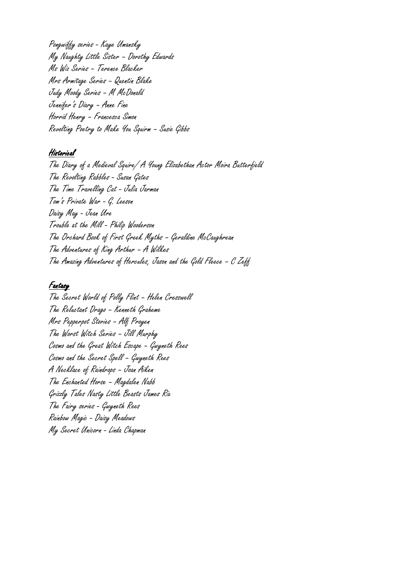Pongwiffy series - Kaye Umansky My Naughty Little Sister – Dorothy Edwards Ms Wiz Series – Terence Blacker Mrs Armitage Series – Quentin Blake Judy Moody Series – M McDonald Jennifer's Diary – Anne Fine Horrid Henry – Francesca Simon Revolting Poetry to Make You Squirm – Susie Gibbs

#### Historical

The Diary of a Medieval Squire/ A Young Elizabethan Actor Moira Butterfield The Revolting Rabbles - Susan Gates The Time Travelling Cat - Julia Jarman Tom's Private War - G. Leeson Daisy May - Jean Ure Trouble at the Mill - Philip Wooderson The Orchard Book of First Greek Myths – Geraldine McCaughrean The Adventures of King Arthur – A Wilkes The Amazing Adventures of Hercules, Jason and the Gold Fleece – C Zeff

#### Fantasy

The Secret World of Polly Flint – Helen Cresswell The Reluctant Drago – Kenneth Graheme Mrs Pepperpot Stories – Alf Proyen The Worst Witch Series – Jill Murphy Cosmo and the Great Witch Escape – Gwyneth Rees Cosmo and the Secret Spell – Gwyneth Rees A Necklace of Raindrops – Joan Aiken The Enchanted Horse – Magdalen Nabb Grizzly Tales Nasty Little Beasts James Rix The Fairy series - Gwyneth Rees Rainbow Magic - Daisy Meadows My Secret Unicorn - Linda Chapman